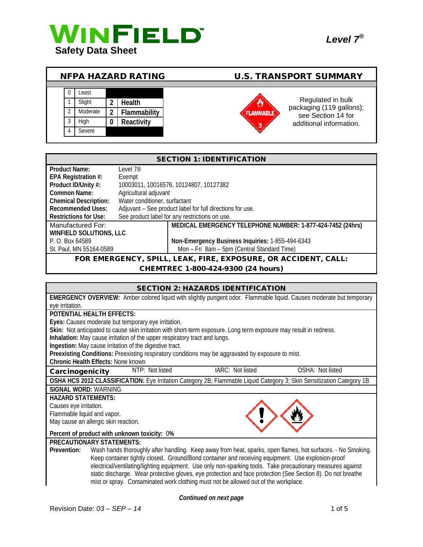

| <b>NFPA HAZARD RATING</b> |  |          |  |               | <b>U.S. TRANSPORT SUMMARY</b> |                                                |
|---------------------------|--|----------|--|---------------|-------------------------------|------------------------------------------------|
|                           |  |          |  |               |                               |                                                |
|                           |  | Least    |  |               |                               |                                                |
|                           |  | Slight   |  | <b>Health</b> |                               | Regulated in bulk                              |
|                           |  | Moderate |  | Flammability  | <b>FLAMMABLE</b>              | packaging (119 gallons);<br>see Section 14 for |
|                           |  | High     |  | Reactivity    | 3                             | additional information.                        |
|                           |  | Severe   |  |               |                               |                                                |

| <b>SECTION 1: IDENTIFICATION</b>                                                |                                        |                                                           |  |
|---------------------------------------------------------------------------------|----------------------------------------|-----------------------------------------------------------|--|
| <b>Product Name:</b>                                                            | level 7 <sup>®</sup>                   |                                                           |  |
| EPA Registration #:                                                             | Exempt                                 |                                                           |  |
| Product ID/Unity #:                                                             | 10003011, 10016576, 10124807, 10127382 |                                                           |  |
| Common Name:                                                                    | Agricultural adjuvant                  |                                                           |  |
| <b>Chemical Description:</b>                                                    | Water conditioner, surfactant          |                                                           |  |
| <b>Recommended Uses:</b>                                                        |                                        | Adjuvant - See product label for full directions for use. |  |
| See product label for any restrictions on use.<br><b>Restrictions for Use:</b>  |                                        |                                                           |  |
| MEDICAL EMERGENCY TELEPHONE NUMBER: 1-877-424-7452 (24hrs)<br>Manufactured For: |                                        |                                                           |  |
| <b>WINFIELD SOLUTIONS, LLC</b>                                                  |                                        |                                                           |  |
| P. O. Box 64589                                                                 |                                        | Non-Emergency Business Inquiries: 1-855-494-6343          |  |
| Mon - Fri 8am - 5pm (Central Standard Time)<br>St. Paul, MN 55164-0589          |                                        |                                                           |  |
| FOR EMERGENCY, SPILL, LEAK, FIRE, EXPOSURE, OR ACCIDENT, CALL:                  |                                        |                                                           |  |

#### CHEMTREC 1-800-424-9300 (24 hours)

|                                                                                                                       |                 | <b>SECTION 2: HAZARDS IDENTIFICATION</b>                                            |                                                                                                              |
|-----------------------------------------------------------------------------------------------------------------------|-----------------|-------------------------------------------------------------------------------------|--------------------------------------------------------------------------------------------------------------|
| EMERGENCY OVERVIEW: Amber colored liquid with slightly pungent odor. Flammable liquid. Causes moderate but temporary  |                 |                                                                                     |                                                                                                              |
| eye irritation.                                                                                                       |                 |                                                                                     |                                                                                                              |
| POTENTIAL HEALTH EFFECTS:                                                                                             |                 |                                                                                     |                                                                                                              |
| Eyes: Causes moderate but temporary eye irritation.                                                                   |                 |                                                                                     |                                                                                                              |
| Skin: Not anticipated to cause skin irritation with short-term exposure. Long term exposure may result in redness.    |                 |                                                                                     |                                                                                                              |
| Inhalation: May cause irritation of the upper respiratory tract and lungs.                                            |                 |                                                                                     |                                                                                                              |
| Ingestion: May cause irritation of the digestive tract.                                                               |                 |                                                                                     |                                                                                                              |
| Preexisting Conditions: Preexisting respiratory conditions may be aggravated by exposure to mist.                     |                 |                                                                                     |                                                                                                              |
| Chronic Health Effects: None known                                                                                    |                 |                                                                                     |                                                                                                              |
| Carcinogenicity                                                                                                       | NTP: Not listed | IARC: Not listed                                                                    | OSHA: Not listed                                                                                             |
| OSHA HCS 2012 CLASSIFICATION: Eye Irritation Category 2B; Flammable Liquid Category 3; Skin Sensitization Category 1B |                 |                                                                                     |                                                                                                              |
| <b>SIGNAL WORD: WARNING</b>                                                                                           |                 |                                                                                     |                                                                                                              |
| <b>HAZARD STATEMENTS:</b>                                                                                             |                 |                                                                                     |                                                                                                              |
| Causes eye irritation.                                                                                                |                 |                                                                                     |                                                                                                              |
| Flammable liquid and vapor.                                                                                           |                 |                                                                                     |                                                                                                              |
| May cause an allergic skin reaction.                                                                                  |                 |                                                                                     |                                                                                                              |
| Percent of product with unknown toxicity: 0%                                                                          |                 |                                                                                     |                                                                                                              |
| <b>PRECAUTIONARY STATEMENTS:</b>                                                                                      |                 |                                                                                     |                                                                                                              |
| Prevention:                                                                                                           |                 |                                                                                     | Wash hands thoroughly after handling. Keep away from heat, sparks, open flames, hot surfaces. - No Smoking.  |
|                                                                                                                       |                 |                                                                                     | Keep container tightly closed. Ground/Bond container and receiving equipment. Use explosion-proof            |
|                                                                                                                       |                 |                                                                                     | electrical/ventilating/lighting equipment. Use only non-sparking tools. Take precautionary measures against  |
|                                                                                                                       |                 |                                                                                     | static discharge. Wear protective gloves, eye protection and face protection (See Section 8). Do not breathe |
|                                                                                                                       |                 | mist or spray. Contaminated work clothing must not be allowed out of the workplace. |                                                                                                              |

*Continued on next page*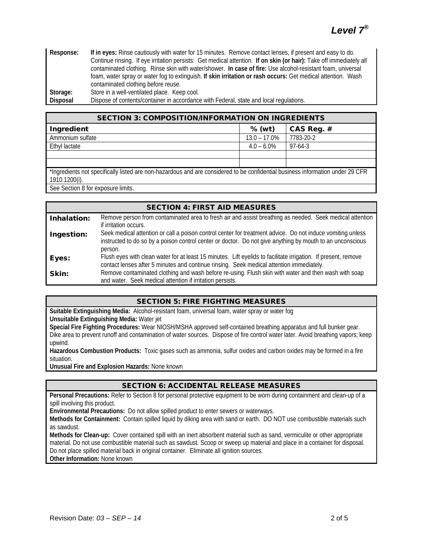| Response: | If in eyes: Rinse cautiously with water for 15 minutes. Remove contact lenses, if present and easy to do.           |  |  |
|-----------|---------------------------------------------------------------------------------------------------------------------|--|--|
|           | Continue rinsing. If eye irritation persists: Get medical attention. If on skin (or hair): Take off immediately all |  |  |
|           | contaminated clothing. Rinse skin with water/shower. In case of fire: Use alcohol-resistant foam, universal         |  |  |
|           | foam, water spray or water fog to extinguish. If skin irritation or rash occurs: Get medical attention. Wash        |  |  |
|           | contaminated clothing before reuse.                                                                                 |  |  |
| Storage:  | Store in a well-ventilated place. Keep cool.                                                                        |  |  |
| Disposal  | Dispose of contents/container in accordance with Federal, state and local regulations.                              |  |  |

| <b>SECTION 3: COMPOSITION/INFORMATION ON INGREDIENTS</b>                                                                       |                 |            |  |
|--------------------------------------------------------------------------------------------------------------------------------|-----------------|------------|--|
| Ingredient                                                                                                                     | % (wt)          | CAS Reg. # |  |
| Ammonium sulfate                                                                                                               | $13.0 - 17.0\%$ | 7783-20-2  |  |
| Ethyl lactate                                                                                                                  | $4.0 - 6.0\%$   | $97-64-3$  |  |
|                                                                                                                                |                 |            |  |
|                                                                                                                                |                 |            |  |
| *Ingredients not specifically listed are non-hazardous and are considered to be confidential business information under 29 CFR |                 |            |  |
| 1910.1200(i).                                                                                                                  |                 |            |  |
| $Q_{\text{max}}(Q_{\text{max}})$ and $Q_{\text{max}}(Q_{\text{max}})$ and $Q_{\text{max}}(Q_{\text{max}})$                     |                 |            |  |

See Section 8 for exposure limits.

| <b>SECTION 4: FIRST AID MEASURES</b> |                                                                                                                                                                                                                                    |  |  |
|--------------------------------------|------------------------------------------------------------------------------------------------------------------------------------------------------------------------------------------------------------------------------------|--|--|
| Inhalation:                          | Remove person from contaminated area to fresh air and assist breathing as needed. Seek medical attention<br>if irritation occurs.                                                                                                  |  |  |
| Ingestion:                           | Seek medical attention or call a poison control center for treatment advice. Do not induce vomiting unless<br>instructed to do so by a poison control center or doctor. Do not give anything by mouth to an unconscious<br>person. |  |  |
| Eyes:                                | Flush eyes with clean water for at least 15 minutes. Lift eyelids to facilitate irrigation. If present, remove<br>contact lenses after 5 minutes and continue rinsing. Seek medical attention immediately.                         |  |  |
| Skin:                                | Remove contaminated clothing and wash before re-using. Flush skin with water and then wash with soap<br>and water. Seek medical attention if irritation persists.                                                                  |  |  |

## SECTION 5: FIRE FIGHTING MEASURES

**Suitable Extinguishing Media:** Alcohol-resistant foam, universal foam, water spray or water fog **Unsuitable Extinguishing Media:** Water jet

**Special Fire Fighting Procedures:** Wear NIOSH/MSHA approved self-contained breathing apparatus and full bunker gear. Dike area to prevent runoff and contamination of water sources. Dispose of fire control water later. Avoid breathing vapors; keep upwind.

**Hazardous Combustion Products:** Toxic gases such as ammonia, sulfur oxides and carbon oxides may be formed in a fire situation.

**Unusual Fire and Explosion Hazards:** None known

## SECTION 6: ACCIDENTAL RELEASE MEASURES

**Personal Precautions:** Refer to Section 8 for personal protective equipment to be worn during containment and clean-up of a spill involving this product.

**Environmental Precautions:** Do not allow spilled product to enter sewers or waterways.

**Methods for Containment:** Contain spilled liquid by diking area with sand or earth. DO NOT use combustible materials such as sawdust.

**Methods for Clean-up:** Cover contained spill with an inert absorbent material such as sand, vermiculite or other appropriate material. Do not use combustible material such as sawdust. Scoop or sweep up material and place in a container for disposal. Do not place spilled material back in original container. Eliminate all ignition sources.

**Other Information:** None known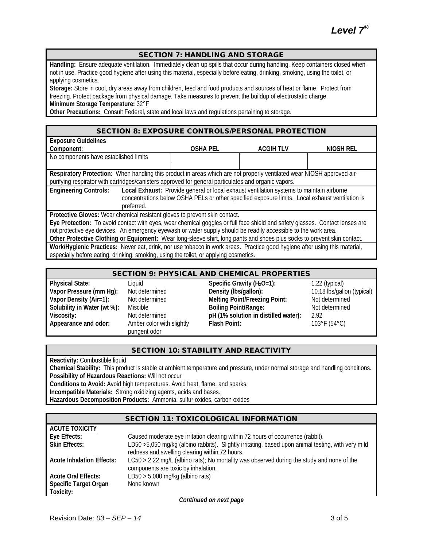#### SECTION 7: HANDLING AND STORAGE

**Handling:** Ensure adequate ventilation. Immediately clean up spills that occur during handling. Keep containers closed when not in use. Practice good hygiene after using this material, especially before eating, drinking, smoking, using the toilet, or applying cosmetics.

**Storage:** Store in cool, dry areas away from children, feed and food products and sources of heat or flame. Protect from freezing. Protect package from physical damage. Take measures to prevent the buildup of electrostatic charge. **Minimum Storage Temperature:** 32°F

**Other Precautions:** Consult Federal, state and local laws and regulations pertaining to storage.

#### SECTION 8: EXPOSURE CONTROLS/PERSONAL PROTECTION

| <b>Exposure Guidelines</b>                                                                                                   |                                                                                                 |                  |           |
|------------------------------------------------------------------------------------------------------------------------------|-------------------------------------------------------------------------------------------------|------------------|-----------|
| Component:                                                                                                                   | <b>OSHA PEL</b>                                                                                 | <b>ACGIH TLV</b> | NIOSH REL |
| No components have established limits                                                                                        |                                                                                                 |                  |           |
|                                                                                                                              |                                                                                                 |                  |           |
| Respiratory Protection: When handling this product in areas which are not properly ventilated wear NIOSH approved air-       |                                                                                                 |                  |           |
| purifying respirator with cartridges/canisters approved for general particulates and organic vapors.                         |                                                                                                 |                  |           |
| <b>Engineering Controls:</b>                                                                                                 | Local Exhaust: Provide general or local exhaust ventilation systems to maintain airborne        |                  |           |
|                                                                                                                              | concentrations below OSHA PELs or other specified exposure limits. Local exhaust ventilation is |                  |           |
| preferred.                                                                                                                   |                                                                                                 |                  |           |
| Protective Gloves: Wear chemical resistant gloves to prevent skin contact.                                                   |                                                                                                 |                  |           |
| Eye Protection: To avoid contact with eyes, wear chemical goggles or full face shield and safety glasses. Contact lenses are |                                                                                                 |                  |           |
| not protective eye devices. An emergency eyewash or water supply should be readily accessible to the work area.              |                                                                                                 |                  |           |
| Other Protective Clothing or Equipment: Wear long-sleeve shirt, long pants and shoes plus socks to prevent skin contact.     |                                                                                                 |                  |           |
| Work/Hygienic Practices: Never eat, drink, nor use tobacco in work areas. Practice good hygiene after using this material,   |                                                                                                 |                  |           |
| especially before eating, drinking, smoking, using the toilet, or applying cosmetics.                                        |                                                                                                 |                  |           |

#### SECTION 9: PHYSICAL AND CHEMICAL PROPERTIES

**Solubility in Water (wt %): Appearance and odor:** Amber color with slightly

pungent odor

**Physical State:** Liquid **Specific Gravity (H<sub>2</sub>O=1): 1.22 (typical)** 1.22 (typical) **Vapor Pressure (mm Hg):** Not determined **Density (Ibs/gallon):** 10.18 lbs/gallon (typical)<br> **Vapor Density (Air=1):** Not determined **Delting Point/Freezing Point:** Not determined **Vapor Density (Air and Tairbor Density (Air and Nelting Point/Freezing Point:** Not determined Miscible<br>Miscible **Boiling Point/Range:** Not determined **Viscosity:** Not determined **pH** (1% solution in distilled water): 2.92<br>**Appearance and odor:** Amber color with slightly **Flash Point:** 103°

**Flash Point:** 103°F (54°C)

## SECTION 10: STABILITY AND REACTIVITY

**Reactivity:** Combustible liquid

**Chemical Stability:** This product is stable at ambient temperature and pressure, under normal storage and handling conditions. **Possibility of Hazardous Reactions:** Will not occur

**Conditions to Avoid:** Avoid high temperatures. Avoid heat, flame, and sparks.

**Incompatible Materials:** Strong oxidizing agents, acids and bases.

**Hazardous Decomposition Products:** Ammonia, sulfur oxides, carbon oxides

#### SECTION 11: TOXICOLOGICAL INFORMATION

| <b>ACUTE TOXICITY</b>            |                                                                                                     |
|----------------------------------|-----------------------------------------------------------------------------------------------------|
| Eye Effects:                     | Caused moderate eye irritation clearing within 72 hours of occurrence (rabbit).                     |
| <b>Skin Effects:</b>             | LD50 > 5,050 mg/kg (albino rabbits). Slightly irritating, based upon animal testing, with very mild |
|                                  | redness and swelling clearing within 72 hours.                                                      |
| <b>Acute Inhalation Effects:</b> | $LC50 > 2.22$ mg/L (albino rats); No mortality was observed during the study and none of the        |
|                                  | components are toxic by inhalation.                                                                 |
| <b>Acute Oral Effects:</b>       | LD50 $> 5,000$ mg/kg (albino rats)                                                                  |
| <b>Specific Target Organ</b>     | None known                                                                                          |
| Toxicity:                        |                                                                                                     |

*Continued on next page*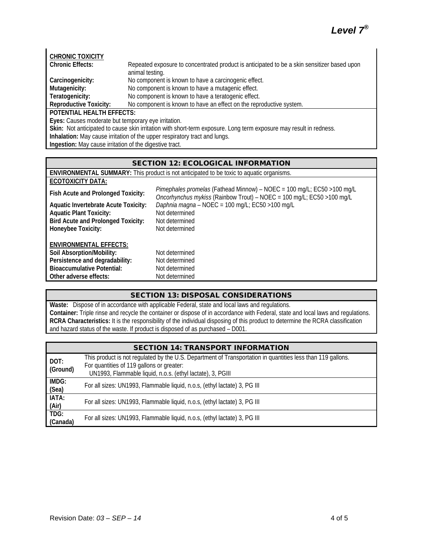# *Level 7®*

| <b>CHRONIC TOXICITY</b>                                                                                            |                                                                                             |  |  |  |
|--------------------------------------------------------------------------------------------------------------------|---------------------------------------------------------------------------------------------|--|--|--|
| <b>Chronic Effects:</b>                                                                                            | Repeated exposure to concentrated product is anticipated to be a skin sensitizer based upon |  |  |  |
|                                                                                                                    | animal testing.                                                                             |  |  |  |
| Carcinogenicity:                                                                                                   | No component is known to have a carcinogenic effect.                                        |  |  |  |
| Mutagenicity:                                                                                                      | No component is known to have a mutagenic effect.                                           |  |  |  |
| Teratogenicity:                                                                                                    | No component is known to have a teratogenic effect.                                         |  |  |  |
| <b>Reproductive Toxicity:</b>                                                                                      | No component is known to have an effect on the reproductive system.                         |  |  |  |
| <b>POTENTIAL HEALTH EFFECTS:</b>                                                                                   |                                                                                             |  |  |  |
| Eyes: Causes moderate but temporary eye irritation.                                                                |                                                                                             |  |  |  |
| Skin: Not anticipated to cause skin irritation with short-term exposure. Long term exposure may result in redness. |                                                                                             |  |  |  |

**Inhalation:** May cause irritation of the upper respiratory tract and lungs.

**Ingestion:** May cause irritation of the digestive tract.

## SECTION 12: ECOLOGICAL INFORMATION

| <b>ENVIRONMENTAL SUMMARY:</b> This product is not anticipated to be toxic to aquatic organisms. |                                                                                                                                                              |  |  |  |
|-------------------------------------------------------------------------------------------------|--------------------------------------------------------------------------------------------------------------------------------------------------------------|--|--|--|
| <b>ECOTOXICITY DATA:</b>                                                                        |                                                                                                                                                              |  |  |  |
| Fish Acute and Prolonged Toxicity:                                                              | Pimephales promelas (Fathead Minnow) - NOEC = 100 mg/L; EC50 > 100 mg/L<br><i>Oncorhynchus mykiss</i> (Rainbow Trout) – $N$ NOEC = 100 mg/L; EC50 > 100 mg/L |  |  |  |
| <b>Aquatic Invertebrate Acute Toxicity:</b>                                                     | Daphnia magna – NOEC = 100 mg/L; EC50 > 100 mg/L                                                                                                             |  |  |  |
| <b>Aquatic Plant Toxicity:</b>                                                                  | Not determined                                                                                                                                               |  |  |  |
| <b>Bird Acute and Prolonged Toxicity:</b>                                                       | Not determined                                                                                                                                               |  |  |  |

**ENVIRONMENTAL EFFECTS:**

| Soil Absorption/Mobility:         | Not determined |
|-----------------------------------|----------------|
| Persistence and degradability:    | Not determined |
| <b>Bioaccumulative Potential:</b> | Not determined |
| Other adverse effects:            | Not determined |

**Honeybee Toxicity:** Not determined

## SECTION 13: DISPOSAL CONSIDERATIONS

**Waste:** Dispose of in accordance with applicable Federal, state and local laws and regulations. **Container:** Triple rinse and recycle the container or dispose of in accordance with Federal, state and local laws and regulations. **RCRA Characteristics:** It is the responsibility of the individual disposing of this product to determine the RCRA classification and hazard status of the waste. If product is disposed of as purchased – D001.

|                  | <b>SECTION 14: TRANSPORT INFORMATION</b>                                                                                                                                                                               |  |  |
|------------------|------------------------------------------------------------------------------------------------------------------------------------------------------------------------------------------------------------------------|--|--|
| DOT:<br>(Ground) | This product is not regulated by the U.S. Department of Transportation in quantities less than 119 gallons.<br>For quantities of 119 gallons or greater:<br>UN1993, Flammable liquid, n.o.s. (ethyl lactate), 3, PGIII |  |  |
| IMDG:<br>(Sea)   | For all sizes: UN1993, Flammable liquid, n.o.s, (ethyl lactate) 3, PG III                                                                                                                                              |  |  |
| IATA:<br>(Air)   | For all sizes: UN1993, Flammable liquid, n.o.s, (ethyl lactate) 3, PG III                                                                                                                                              |  |  |
| TDG:<br>(Canada) | For all sizes: UN1993, Flammable liquid, n.o.s, (ethyl lactate) 3, PG III                                                                                                                                              |  |  |